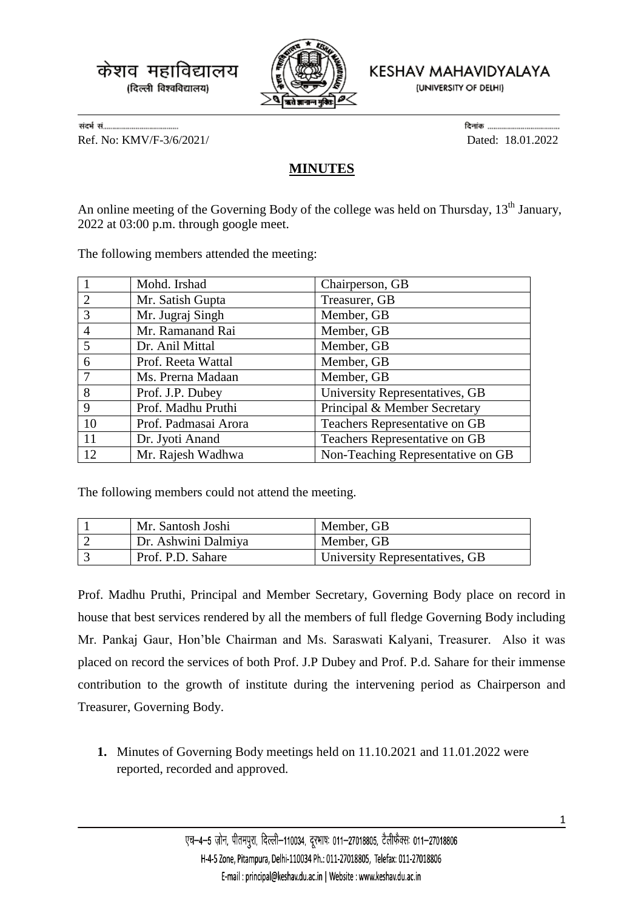

KESHAV MAHAVIDYALAYA

(UNIVERSITY OF DELHI)

Ref. No: KMV/F-3/6/2021/ Dated: 18.01.2022

## **MINUTES**

An online meeting of the Governing Body of the college was held on Thursday,  $13<sup>th</sup>$  January, 2022 at 03:00 p.m. through google meet.

The following members attended the meeting:

|                 | Mohd. Irshad         | Chairperson, GB                   |
|-----------------|----------------------|-----------------------------------|
| 2               | Mr. Satish Gupta     | Treasurer, GB                     |
| 3               | Mr. Jugraj Singh     | Member, GB                        |
| $\overline{4}$  | Mr. Ramanand Rai     | Member, GB                        |
| $\overline{5}$  | Dr. Anil Mittal      | Member, GB                        |
| 6               | Prof. Reeta Wattal   | Member, GB                        |
| $7\phantom{.0}$ | Ms. Prerna Madaan    | Member, GB                        |
| 8               | Prof. J.P. Dubey     | University Representatives, GB    |
| 9               | Prof. Madhu Pruthi   | Principal & Member Secretary      |
| 10              | Prof. Padmasai Arora | Teachers Representative on GB     |
| 11              | Dr. Jyoti Anand      | Teachers Representative on GB     |
| 12              | Mr. Rajesh Wadhwa    | Non-Teaching Representative on GB |

The following members could not attend the meeting.

| Mr. Santosh Joshi   | Member, GB                     |
|---------------------|--------------------------------|
| Dr. Ashwini Dalmiya | Member, GB                     |
| Prof. P.D. Sahare   | University Representatives, GB |

Prof. Madhu Pruthi, Principal and Member Secretary, Governing Body place on record in house that best services rendered by all the members of full fledge Governing Body including Mr. Pankaj Gaur, Hon'ble Chairman and Ms. Saraswati Kalyani, Treasurer. Also it was placed on record the services of both Prof. J.P Dubey and Prof. P.d. Sahare for their immense contribution to the growth of institute during the intervening period as Chairperson and Treasurer, Governing Body.

**1.** Minutes of Governing Body meetings held on 11.10.2021 and 11.01.2022 were reported, recorded and approved.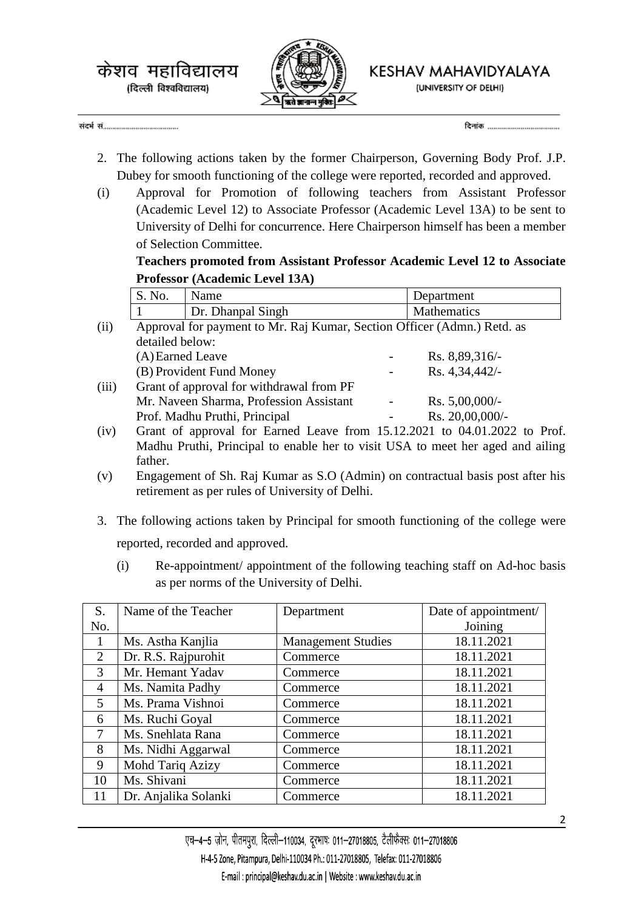

KESHAV MAHAVIDYALAYA

(UNIVERSITY OF DELHI)

- 2. The following actions taken by the former Chairperson, Governing Body Prof. J.P. Dubey for smooth functioning of the college were reported, recorded and approved.
- (i) Approval for Promotion of following teachers from Assistant Professor (Academic Level 12) to Associate Professor (Academic Level 13A) to be sent to University of Delhi for concurrence. Here Chairperson himself has been a member of Selection Committee.

**Teachers promoted from Assistant Professor Academic Level 12 to Associate Professor (Academic Level 13A)**

|       | S. No.                                                                  | Name                                     |  | Department       |  |
|-------|-------------------------------------------------------------------------|------------------------------------------|--|------------------|--|
|       |                                                                         | Dr. Dhanpal Singh                        |  | Mathematics      |  |
| (ii)  | Approval for payment to Mr. Raj Kumar, Section Officer (Admn.) Retd. as |                                          |  |                  |  |
|       | detailed below:                                                         |                                          |  |                  |  |
|       | (A) Earned Leave                                                        |                                          |  | Rs. 8,89,316/-   |  |
|       |                                                                         | (B) Provident Fund Money                 |  | Rs. 4,34,442/-   |  |
| (iii) |                                                                         | Grant of approval for withdrawal from PF |  |                  |  |
|       |                                                                         | Mr. Naveen Sharma, Profession Assistant  |  | Rs. $5,00,000/-$ |  |
|       |                                                                         | Prof. Madhu Pruthi, Principal            |  | Rs. 20,00,000/-  |  |

- (iv) Grant of approval for Earned Leave from 15.12.2021 to 04.01.2022 to Prof. Madhu Pruthi, Principal to enable her to visit USA to meet her aged and ailing father.
- (v) Engagement of Sh. Raj Kumar as S.O (Admin) on contractual basis post after his retirement as per rules of University of Delhi.
- 3. The following actions taken by Principal for smooth functioning of the college were reported, recorded and approved.
	- (i) Re-appointment/ appointment of the following teaching staff on Ad-hoc basis as per norms of the University of Delhi.

| S.             | Name of the Teacher  | Department                | Date of appointment/ |
|----------------|----------------------|---------------------------|----------------------|
| No.            |                      |                           | Joining              |
|                | Ms. Astha Kanjlia    | <b>Management Studies</b> | 18.11.2021           |
| $\overline{2}$ | Dr. R.S. Rajpurohit  | Commerce                  | 18.11.2021           |
| 3              | Mr. Hemant Yadav     | Commerce                  | 18.11.2021           |
| $\overline{4}$ | Ms. Namita Padhy     | Commerce                  | 18.11.2021           |
| 5 <sup>1</sup> | Ms. Prama Vishnoi    | Commerce                  | 18.11.2021           |
| 6              | Ms. Ruchi Goyal      | Commerce                  | 18.11.2021           |
| $\tau$         | Ms. Snehlata Rana    | Commerce                  | 18.11.2021           |
| 8              | Ms. Nidhi Aggarwal   | Commerce                  | 18.11.2021           |
| 9              | Mohd Tariq Azizy     | Commerce                  | 18.11.2021           |
| 10             | Ms. Shivani          | Commerce                  | 18.11.2021           |
| 11             | Dr. Anjalika Solanki | Commerce                  | 18.11.2021           |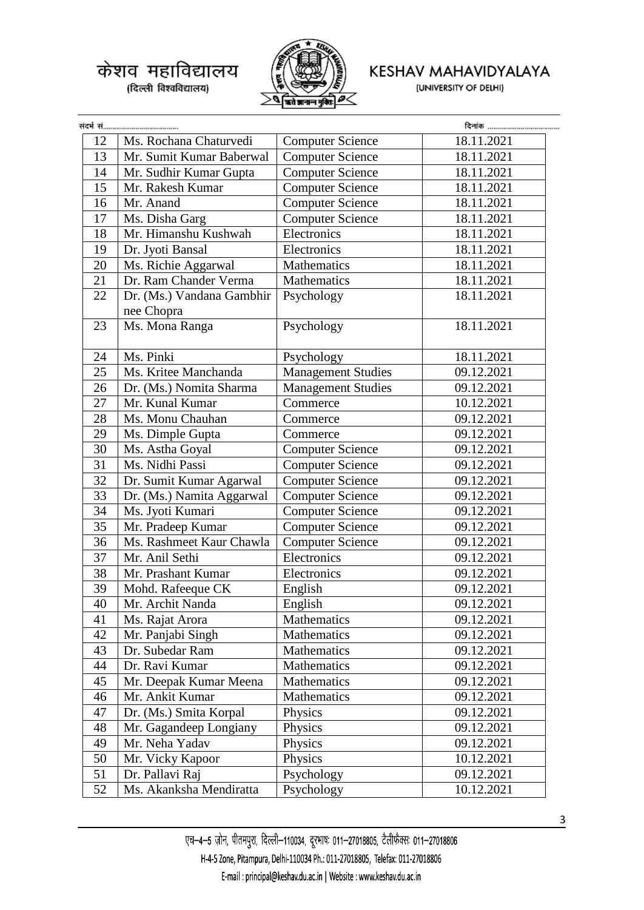

## KESHAV MAHAVIDYALAYA

(UNIVERSITY OF DELHI)

|    |                           |                           | दिनांक     |
|----|---------------------------|---------------------------|------------|
| 12 | Ms. Rochana Chaturvedi    | <b>Computer Science</b>   | 18.11.2021 |
| 13 | Mr. Sumit Kumar Baberwal  | <b>Computer Science</b>   | 18.11.2021 |
| 14 | Mr. Sudhir Kumar Gupta    | <b>Computer Science</b>   | 18.11.2021 |
| 15 | Mr. Rakesh Kumar          | <b>Computer Science</b>   | 18.11.2021 |
| 16 | Mr. Anand                 | <b>Computer Science</b>   | 18.11.2021 |
| 17 | Ms. Disha Garg            | <b>Computer Science</b>   | 18.11.2021 |
| 18 | Mr. Himanshu Kushwah      | Electronics               | 18.11.2021 |
| 19 | Dr. Jyoti Bansal          | Electronics               | 18.11.2021 |
| 20 | Ms. Richie Aggarwal       | Mathematics               | 18.11.2021 |
| 21 | Dr. Ram Chander Verma     | Mathematics               | 18.11.2021 |
| 22 | Dr. (Ms.) Vandana Gambhir | Psychology                | 18.11.2021 |
|    | nee Chopra                |                           |            |
| 23 | Ms. Mona Ranga            | Psychology                | 18.11.2021 |
| 24 | Ms. Pinki                 | Psychology                | 18.11.2021 |
| 25 | Ms. Kritee Manchanda      | <b>Management Studies</b> | 09.12.2021 |
| 26 | Dr. (Ms.) Nomita Sharma   | <b>Management Studies</b> | 09.12.2021 |
| 27 | Mr. Kunal Kumar           | Commerce                  | 10.12.2021 |
| 28 | Ms. Monu Chauhan          | Commerce                  | 09.12.2021 |
| 29 | Ms. Dimple Gupta          | Commerce                  | 09.12.2021 |
| 30 | Ms. Astha Goyal           | <b>Computer Science</b>   | 09.12.2021 |
| 31 | Ms. Nidhi Passi           | <b>Computer Science</b>   | 09.12.2021 |
| 32 | Dr. Sumit Kumar Agarwal   | <b>Computer Science</b>   | 09.12.2021 |
| 33 | Dr. (Ms.) Namita Aggarwal | <b>Computer Science</b>   | 09.12.2021 |
| 34 | Ms. Jyoti Kumari          | <b>Computer Science</b>   | 09.12.2021 |
| 35 | Mr. Pradeep Kumar         | <b>Computer Science</b>   | 09.12.2021 |
| 36 | Ms. Rashmeet Kaur Chawla  | <b>Computer Science</b>   | 09.12.2021 |
| 37 | Mr. Anil Sethi            | Electronics               | 09.12.2021 |
| 38 | Mr. Prashant Kumar        | Electronics               | 09.12.2021 |
| 39 | Mohd. Rafeeque CK         | English                   | 09.12.2021 |
| 40 | Mr. Archit Nanda          | English                   | 09.12.2021 |
| 41 | Ms. Rajat Arora           | Mathematics               | 09.12.2021 |
| 42 | Mr. Panjabi Singh         | Mathematics               | 09.12.2021 |
| 43 | Dr. Subedar Ram           | Mathematics               | 09.12.2021 |
| 44 | Dr. Ravi Kumar            | Mathematics               | 09.12.2021 |
| 45 | Mr. Deepak Kumar Meena    | Mathematics               | 09.12.2021 |
| 46 | Mr. Ankit Kumar           | Mathematics               | 09.12.2021 |
| 47 | Dr. (Ms.) Smita Korpal    | Physics                   | 09.12.2021 |
| 48 | Mr. Gagandeep Longiany    | Physics                   | 09.12.2021 |
| 49 | Mr. Neha Yadav            | Physics                   | 09.12.2021 |
| 50 | Mr. Vicky Kapoor          | Physics                   | 10.12.2021 |
| 51 | Dr. Pallavi Raj           | Psychology                | 09.12.2021 |
| 52 | Ms. Akanksha Mendiratta   | Psychology                | 10.12.2021 |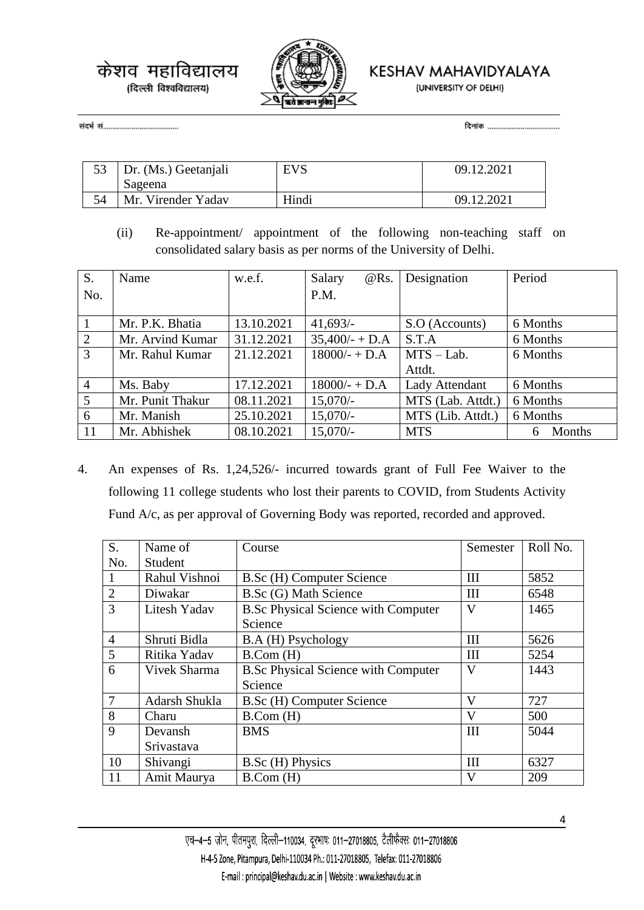

KESHAV MAHAVIDYALAYA

(UNIVERSITY OF DELHI)

| 53   Dr. (Ms.) Geetanjali<br>Sageena | <b>EVS</b> | 09.12.2021 |
|--------------------------------------|------------|------------|
| Mr. Virender Yadav                   | Hindi      | 09.12.2021 |

(ii) Re-appointment/ appointment of the following non-teaching staff on consolidated salary basis as per norms of the University of Delhi.

| S.             | Name             | w.e.f.     | Salary<br>$@$ Rs. | Designation           | Period      |  |
|----------------|------------------|------------|-------------------|-----------------------|-------------|--|
| No.            |                  |            | P.M.              |                       |             |  |
|                |                  |            |                   |                       |             |  |
|                | Mr. P.K. Bhatia  | 13.10.2021 | 41,693/           | S.O (Accounts)        | 6 Months    |  |
| 2              | Mr. Arvind Kumar | 31.12.2021 | $35,400/- + D.A$  | S.T.A                 | 6 Months    |  |
| 3              | Mr. Rahul Kumar  | 21.12.2021 | $18000/- + D.A$   | $MTS - Lab.$          | 6 Months    |  |
|                |                  |            |                   | Attdt.                |             |  |
| $\overline{4}$ | Ms. Baby         | 17.12.2021 | $18000/- + D.A$   | <b>Lady Attendant</b> | 6 Months    |  |
| 5              | Mr. Punit Thakur | 08.11.2021 | $15,070/-$        | MTS (Lab. Attdt.)     | 6 Months    |  |
| 6              | Mr. Manish       | 25.10.2021 | $15,070/-$        | MTS (Lib. Attdt.)     | 6 Months    |  |
| 11             | Mr. Abhishek     | 08.10.2021 | $15,070/-$        | <b>MTS</b>            | Months<br>6 |  |

4. An expenses of Rs. 1,24,526/- incurred towards grant of Full Fee Waiver to the following 11 college students who lost their parents to COVID, from Students Activity Fund A/c, as per approval of Governing Body was reported, recorded and approved.

| S.             | Name of             | Course                                     | Semester | Roll No. |
|----------------|---------------------|--------------------------------------------|----------|----------|
| No.            | Student             |                                            |          |          |
|                | Rahul Vishnoi       | B.Sc (H) Computer Science                  | III      | 5852     |
| $\overline{2}$ | Diwakar             | B.Sc (G) Math Science                      | III      | 6548     |
| 3              | Litesh Yadav        | <b>B.Sc Physical Science with Computer</b> | V        | 1465     |
|                |                     | Science                                    |          |          |
| $\overline{4}$ | Shruti Bidla        | B.A (H) Psychology                         | III      | 5626     |
| 5              | Ritika Yadav        | B. Com (H)                                 | Ш        | 5254     |
| 6              | <b>Vivek Sharma</b> | <b>B.Sc Physical Science with Computer</b> | V        | 1443     |
|                |                     | Science                                    |          |          |
| $\overline{7}$ | Adarsh Shukla       | B.Sc (H) Computer Science                  | V        | 727      |
| 8              | Charu               | B. Com (H)                                 | V        | 500      |
| 9              | Devansh             | <b>BMS</b>                                 | III      | 5044     |
|                | Srivastava          |                                            |          |          |
| 10             | Shivangi            | B.Sc (H) Physics                           | III      | 6327     |
| 11             | Amit Maurya         | B. Com (H)                                 | V        | 209      |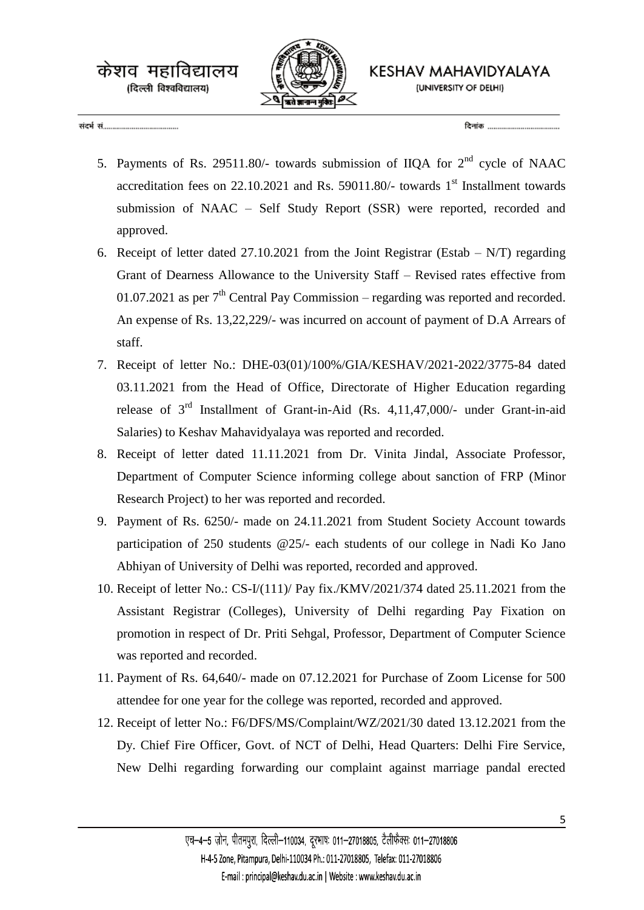

KESHAV MAHAVIDYALAYA (UNIVERSITY OF DELHI)

केशव महाविद्यालय

(दिल्ली विश्वविद्यालय)

- 5. Payments of Rs. 29511.80/- towards submission of IIOA for  $2<sup>nd</sup>$  cycle of NAAC accreditation fees on  $22.10.2021$  and Rs. 59011.80/- towards  $1<sup>st</sup>$  Installment towards submission of NAAC – Self Study Report (SSR) were reported, recorded and approved.
- 6. Receipt of letter dated 27.10.2021 from the Joint Registrar (Estab N/T) regarding Grant of Dearness Allowance to the University Staff – Revised rates effective from 01.07.2021 as per  $7<sup>th</sup>$  Central Pay Commission – regarding was reported and recorded. An expense of Rs. 13,22,229/- was incurred on account of payment of D.A Arrears of staff.
- 7. Receipt of letter No.: DHE-03(01)/100%/GIA/KESHAV/2021-2022/3775-84 dated 03.11.2021 from the Head of Office, Directorate of Higher Education regarding release of  $3<sup>rd</sup>$  Installment of Grant-in-Aid (Rs. 4,11,47,000/- under Grant-in-aid Salaries) to Keshav Mahavidyalaya was reported and recorded.
- 8. Receipt of letter dated 11.11.2021 from Dr. Vinita Jindal, Associate Professor, Department of Computer Science informing college about sanction of FRP (Minor Research Project) to her was reported and recorded.
- 9. Payment of Rs. 6250/- made on 24.11.2021 from Student Society Account towards participation of 250 students @25/- each students of our college in Nadi Ko Jano Abhiyan of University of Delhi was reported, recorded and approved.
- 10. Receipt of letter No.: CS-I/(111)/ Pay fix./KMV/2021/374 dated 25.11.2021 from the Assistant Registrar (Colleges), University of Delhi regarding Pay Fixation on promotion in respect of Dr. Priti Sehgal, Professor, Department of Computer Science was reported and recorded.
- 11. Payment of Rs. 64,640/- made on 07.12.2021 for Purchase of Zoom License for 500 attendee for one year for the college was reported, recorded and approved.
- 12. Receipt of letter No.: F6/DFS/MS/Complaint/WZ/2021/30 dated 13.12.2021 from the Dy. Chief Fire Officer, Govt. of NCT of Delhi, Head Quarters: Delhi Fire Service, New Delhi regarding forwarding our complaint against marriage pandal erected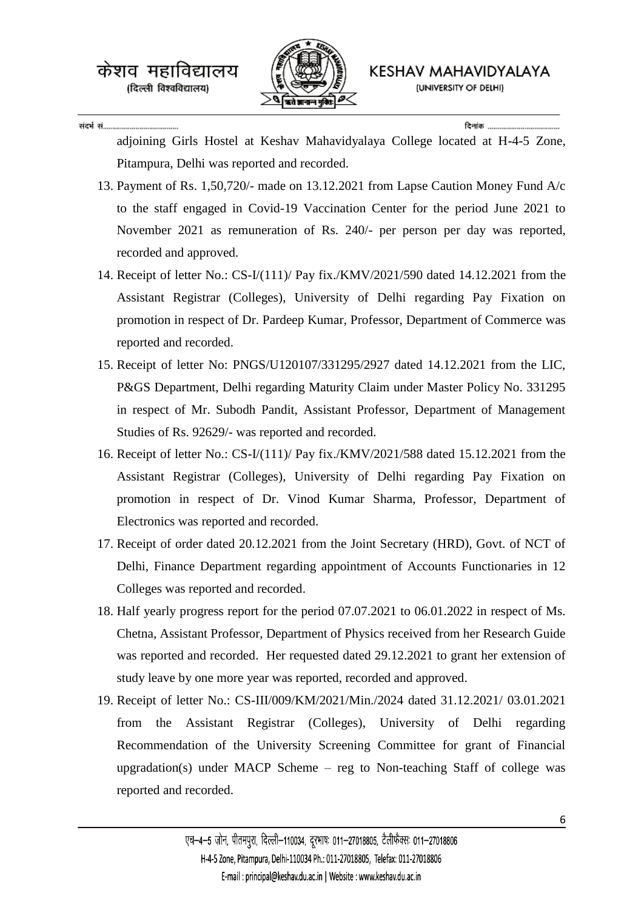

संदर्भ सं.......

adjoining Girls Hostel at Keshav Mahavidyalaya College located at H-4-5 Zone, Pitampura, Delhi was reported and recorded.

- 13. Payment of Rs. 1,50,720/- made on 13.12.2021 from Lapse Caution Money Fund A/c to the staff engaged in Covid-19 Vaccination Center for the period June 2021 to November 2021 as remuneration of Rs. 240/- per person per day was reported, recorded and approved.
- 14. Receipt of letter No.: CS-I/(111)/ Pay fix./KMV/2021/590 dated 14.12.2021 from the Assistant Registrar (Colleges), University of Delhi regarding Pay Fixation on promotion in respect of Dr. Pardeep Kumar, Professor, Department of Commerce was reported and recorded.
- 15. Receipt of letter No: PNGS/U120107/331295/2927 dated 14.12.2021 from the LIC, P&GS Department, Delhi regarding Maturity Claim under Master Policy No. 331295 in respect of Mr. Subodh Pandit, Assistant Professor, Department of Management Studies of Rs. 92629/- was reported and recorded.
- 16. Receipt of letter No.: CS-I/(111)/ Pay fix./KMV/2021/588 dated 15.12.2021 from the Assistant Registrar (Colleges), University of Delhi regarding Pay Fixation on promotion in respect of Dr. Vinod Kumar Sharma, Professor, Department of Electronics was reported and recorded.
- 17. Receipt of order dated 20.12.2021 from the Joint Secretary (HRD), Govt. of NCT of Delhi, Finance Department regarding appointment of Accounts Functionaries in 12 Colleges was reported and recorded.
- 18. Half yearly progress report for the period 07.07.2021 to 06.01.2022 in respect of Ms. Chetna, Assistant Professor, Department of Physics received from her Research Guide was reported and recorded. Her requested dated 29.12.2021 to grant her extension of study leave by one more year was reported, recorded and approved.
- 19. Receipt of letter No.: CS-III/009/KM/2021/Min./2024 dated 31.12.2021/ 03.01.2021 from the Assistant Registrar (Colleges), University of Delhi regarding Recommendation of the University Screening Committee for grant of Financial upgradation(s) under MACP Scheme – reg to Non-teaching Staff of college was reported and recorded.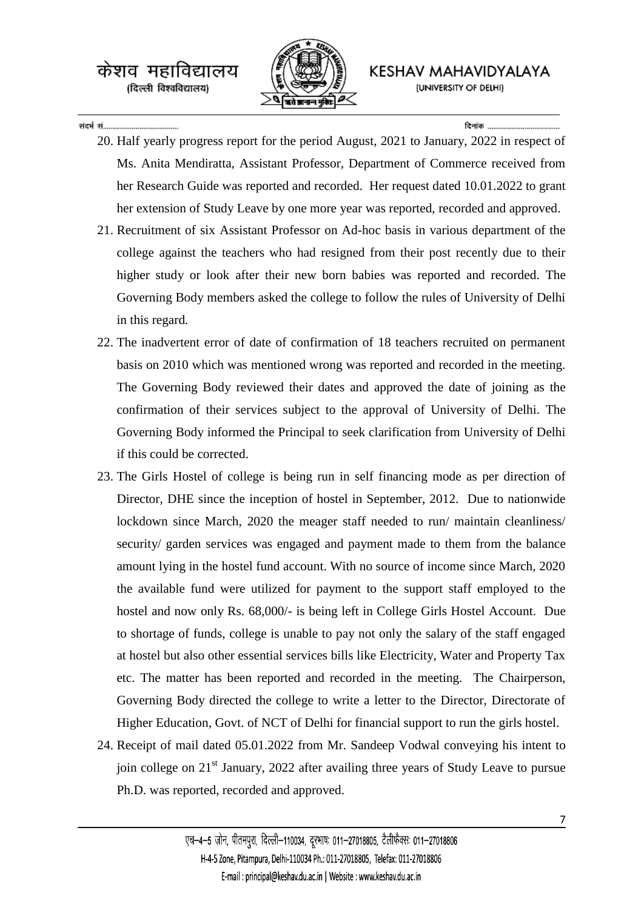

KESHAV MAHAVIDYALAYA (UNIVERSITY OF DELHI)

## संदर्भ सं

टिनांक

- 20. Half yearly progress report for the period August, 2021 to January, 2022 in respect of Ms. Anita Mendiratta, Assistant Professor, Department of Commerce received from her Research Guide was reported and recorded. Her request dated 10.01.2022 to grant her extension of Study Leave by one more year was reported, recorded and approved.
- 21. Recruitment of six Assistant Professor on Ad-hoc basis in various department of the college against the teachers who had resigned from their post recently due to their higher study or look after their new born babies was reported and recorded. The Governing Body members asked the college to follow the rules of University of Delhi in this regard.
- 22. The inadvertent error of date of confirmation of 18 teachers recruited on permanent basis on 2010 which was mentioned wrong was reported and recorded in the meeting. The Governing Body reviewed their dates and approved the date of joining as the confirmation of their services subject to the approval of University of Delhi. The Governing Body informed the Principal to seek clarification from University of Delhi if this could be corrected.
- 23. The Girls Hostel of college is being run in self financing mode as per direction of Director, DHE since the inception of hostel in September, 2012. Due to nationwide lockdown since March, 2020 the meager staff needed to run/ maintain cleanliness/ security/ garden services was engaged and payment made to them from the balance amount lying in the hostel fund account. With no source of income since March, 2020 the available fund were utilized for payment to the support staff employed to the hostel and now only Rs. 68,000/- is being left in College Girls Hostel Account. Due to shortage of funds, college is unable to pay not only the salary of the staff engaged at hostel but also other essential services bills like Electricity, Water and Property Tax etc. The matter has been reported and recorded in the meeting. The Chairperson, Governing Body directed the college to write a letter to the Director, Directorate of Higher Education, Govt. of NCT of Delhi for financial support to run the girls hostel.
- 24. Receipt of mail dated 05.01.2022 from Mr. Sandeep Vodwal conveying his intent to join college on 21<sup>st</sup> January, 2022 after availing three years of Study Leave to pursue Ph.D. was reported, recorded and approved.